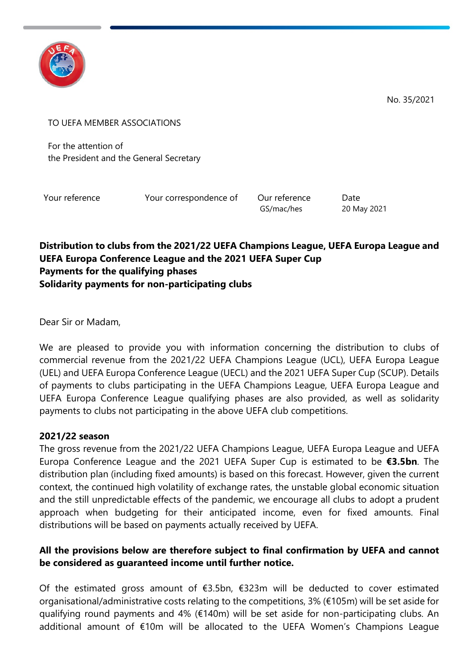

No. 35/2021

TO UEFA MEMBER ASSOCIATIONS

For the attention of the President and the General Secretary

Your reference Your correspondence of Our reference Date

GS/mac/hes 20 May 2021

#### **Distribution to clubs from the 2021/22 UEFA Champions League, UEFA Europa League and UEFA Europa Conference League and the 2021 UEFA Super Cup Payments for the qualifying phases Solidarity payments for non-participating clubs**

Dear Sir or Madam,

We are pleased to provide you with information concerning the distribution to clubs of commercial revenue from the 2021/22 UEFA Champions League (UCL), UEFA Europa League (UEL) and UEFA Europa Conference League (UECL) and the 2021 UEFA Super Cup (SCUP). Details of payments to clubs participating in the UEFA Champions League, UEFA Europa League and UEFA Europa Conference League qualifying phases are also provided, as well as solidarity payments to clubs not participating in the above UEFA club competitions.

#### **2021/22 season**

The gross revenue from the 2021/22 UEFA Champions League, UEFA Europa League and UEFA Europa Conference League and the 2021 UEFA Super Cup is estimated to be **€3.5bn**. The distribution plan (including fixed amounts) is based on this forecast. However, given the current context, the continued high volatility of exchange rates, the unstable global economic situation and the still unpredictable effects of the pandemic, we encourage all clubs to adopt a prudent approach when budgeting for their anticipated income, even for fixed amounts. Final distributions will be based on payments actually received by UEFA.

## **All the provisions below are therefore subject to final confirmation by UEFA and cannot be considered as guaranteed income until further notice.**

Of the estimated gross amount of €3.5bn, €323m will be deducted to cover estimated organisational/administrative costs relating to the competitions, 3% (€105m) will be set aside for qualifying round payments and 4% (€140m) will be set aside for non-participating clubs. An additional amount of €10m will be allocated to the UEFA Women's Champions League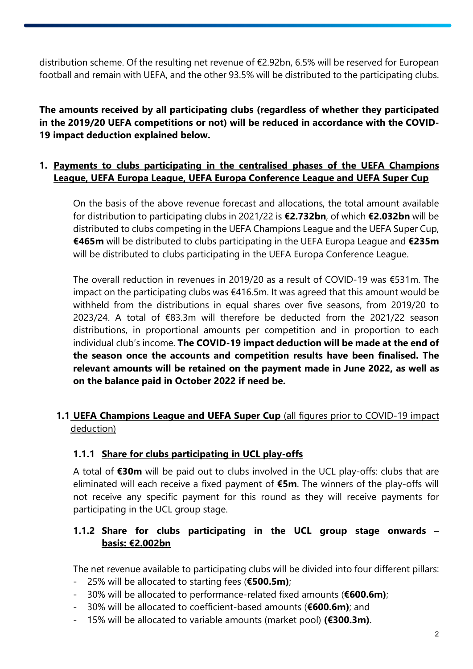distribution scheme. Of the resulting net revenue of €2.92bn, 6.5% will be reserved for European football and remain with UEFA, and the other 93.5% will be distributed to the participating clubs.

**The amounts received by all participating clubs (regardless of whether they participated in the 2019/20 UEFA competitions or not) will be reduced in accordance with the COVID-19 impact deduction explained below.**

## **1. Payments to clubs participating in the centralised phases of the UEFA Champions League, UEFA Europa League, UEFA Europa Conference League and UEFA Super Cup**

On the basis of the above revenue forecast and allocations, the total amount available for distribution to participating clubs in 2021/22 is **€2.732bn**, of which **€2.032bn** will be distributed to clubs competing in the UEFA Champions League and the UEFA Super Cup, **€465m** will be distributed to clubs participating in the UEFA Europa League and **€235m** will be distributed to clubs participating in the UEFA Europa Conference League.

The overall reduction in revenues in 2019/20 as a result of COVID-19 was €531m. The impact on the participating clubs was €416.5m. It was agreed that this amount would be withheld from the distributions in equal shares over five seasons, from 2019/20 to 2023/24. A total of €83.3m will therefore be deducted from the 2021/22 season distributions, in proportional amounts per competition and in proportion to each individual club's income. **The COVID-19 impact deduction will be made at the end of the season once the accounts and competition results have been finalised. The relevant amounts will be retained on the payment made in June 2022, as well as on the balance paid in October 2022 if need be.**

## **1.1 UEFA Champions League and UEFA Super Cup** (all figures prior to COVID-19 impact deduction)

#### **1.1.1 Share for clubs participating in UCL play-offs**

A total of **€30m** will be paid out to clubs involved in the UCL play-offs: clubs that are eliminated will each receive a fixed payment of **€5m**. The winners of the play-offs will not receive any specific payment for this round as they will receive payments for participating in the UCL group stage.

## **1.1.2 Share for clubs participating in the UCL group stage onwards – basis: €2.002bn**

The net revenue available to participating clubs will be divided into four different pillars:

- 25% will be allocated to starting fees (**€500.5m)**;
- 30% will be allocated to performance-related fixed amounts (**€600.6m)**;
- 30% will be allocated to coefficient-based amounts (**€600.6m)**; and
- 15% will be allocated to variable amounts (market pool) **(€300.3m)**.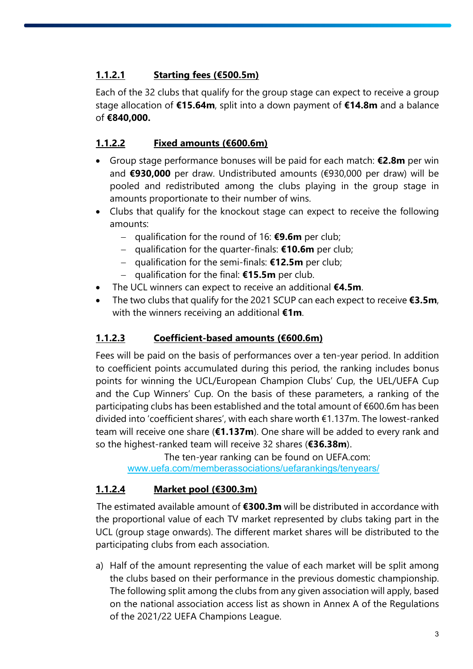# **1.1.2.1 Starting fees (€500.5m)**

Each of the 32 clubs that qualify for the group stage can expect to receive a group stage allocation of **€15.64m**, split into a down payment of **€14.8m** and a balance of **€840,000.**

## **1.1.2.2 Fixed amounts (€600.6m)**

- Group stage performance bonuses will be paid for each match: **€2.8m** per win and **€930,000** per draw. Undistributed amounts (€930,000 per draw) will be pooled and redistributed among the clubs playing in the group stage in amounts proportionate to their number of wins.
- Clubs that qualify for the knockout stage can expect to receive the following amounts:
	- − qualification for the round of 16: **€9.6m** per club;
	- − qualification for the quarter-finals: **€10.6m** per club;
	- − qualification for the semi-finals: **€12.5m** per club;
	- − qualification for the final: **€15.5m** per club.
- The UCL winners can expect to receive an additional **€4.5m**.
- The two clubs that qualify for the 2021 SCUP can each expect to receive **€3.5m**, with the winners receiving an additional **€1m**.

## **1.1.2.3 Coefficient-based amounts (€600.6m)**

Fees will be paid on the basis of performances over a ten-year period. In addition to coefficient points accumulated during this period, the ranking includes bonus points for winning the UCL/European Champion Clubs' Cup, the UEL/UEFA Cup and the Cup Winners' Cup. On the basis of these parameters, a ranking of the participating clubs has been established and the total amount of €600.6m has been divided into 'coefficient shares', with each share worth €1.137m. The lowest-ranked team will receive one share (**€1.137m**). One share will be added to every rank and so the highest-ranked team will receive 32 shares (**€36.38m**).

The ten-year ranking can be found on UEFA.com: [www.uefa.com/memberassociations/uefarankings/tenyears/](http://www.uefa.com/memberassociations/uefarankings/tenyears/)

## **1.1.2.4 Market pool (€300.3m)**

The estimated available amount of **€300.3m** will be distributed in accordance with the proportional value of each TV market represented by clubs taking part in the UCL (group stage onwards). The different market shares will be distributed to the participating clubs from each association.

a) Half of the amount representing the value of each market will be split among the clubs based on their performance in the previous domestic championship. The following split among the clubs from any given association will apply, based on the national association access list as shown in Annex A of the Regulations of the 2021/22 UEFA Champions League.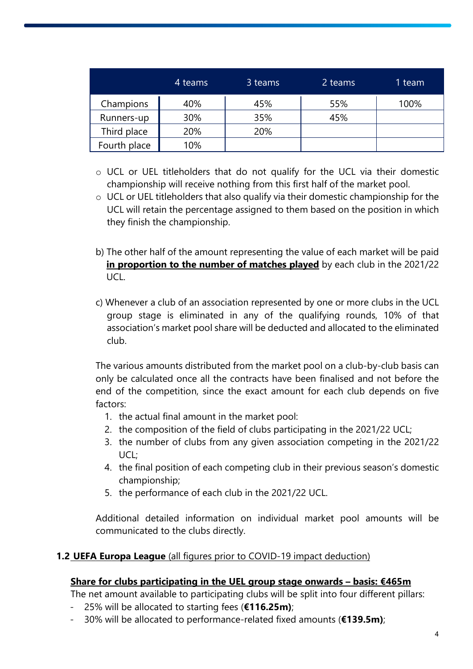|              | 4 teams | 3 teams | 2 teams | 1 team |
|--------------|---------|---------|---------|--------|
| Champions    | 40%     | 45%     | 55%     | 100%   |
| Runners-up   | 30%     | 35%     | 45%     |        |
| Third place  | 20%     | 20%     |         |        |
| Fourth place | 10%     |         |         |        |

- o UCL or UEL titleholders that do not qualify for the UCL via their domestic championship will receive nothing from this first half of the market pool.
- o UCL or UEL titleholders that also qualify via their domestic championship for the UCL will retain the percentage assigned to them based on the position in which they finish the championship.
- b) The other half of the amount representing the value of each market will be paid **in proportion to the number of matches played** by each club in the 2021/22 UCL.
- c) Whenever a club of an association represented by one or more clubs in the UCL group stage is eliminated in any of the qualifying rounds, 10% of that association's market pool share will be deducted and allocated to the eliminated club.

The various amounts distributed from the market pool on a club-by-club basis can only be calculated once all the contracts have been finalised and not before the end of the competition, since the exact amount for each club depends on five factors:

- 1. the actual final amount in the market pool:
- 2. the composition of the field of clubs participating in the 2021/22 UCL;
- 3. the number of clubs from any given association competing in the 2021/22 UCL;
- 4. the final position of each competing club in their previous season's domestic championship;
- 5. the performance of each club in the 2021/22 UCL.

Additional detailed information on individual market pool amounts will be communicated to the clubs directly.

#### **1.2 UEFA Europa League** (all figures prior to COVID-19 impact deduction)

#### **Share for clubs participating in the UEL group stage onwards – basis: €465m**

The net amount available to participating clubs will be split into four different pillars:

- 25% will be allocated to starting fees (**€116.25m)**;
- 30% will be allocated to performance-related fixed amounts (**€139.5m)**;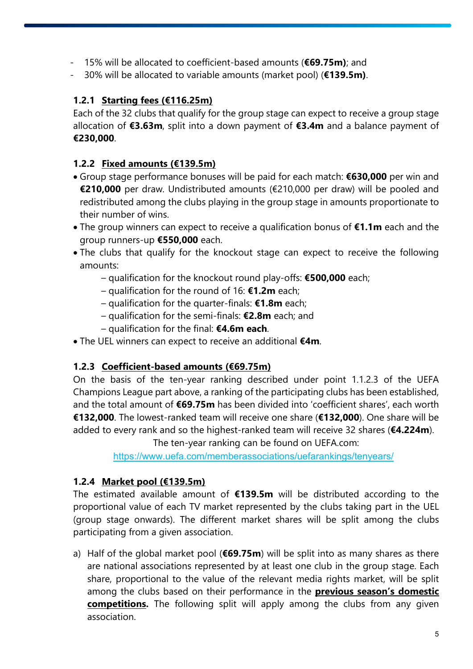- 15% will be allocated to coefficient-based amounts (**€69.75m)**; and
- 30% will be allocated to variable amounts (market pool) (**€139.5m)**.

## **1.2.1 Starting fees (€116.25m)**

Each of the 32 clubs that qualify for the group stage can expect to receive a group stage allocation of **€3.63m**, split into a down payment of **€3.4m** and a balance payment of **€230,000**.

#### **1.2.2 Fixed amounts (€139.5m)**

- Group stage performance bonuses will be paid for each match: **€630,000** per win and **€210,000** per draw. Undistributed amounts (€210,000 per draw) will be pooled and redistributed among the clubs playing in the group stage in amounts proportionate to their number of wins.
- The group winners can expect to receive a qualification bonus of **€1.1m** each and the group runners-up **€550,000** each.
- The clubs that qualify for the knockout stage can expect to receive the following amounts:
	- qualification for the knockout round play-offs: **€500,000** each;
	- qualification for the round of 16: **€1.2m** each;
	- qualification for the quarter-finals: **€1.8m** each;
	- qualification for the semi-finals: **€2.8m** each; and
	- qualification for the final: **€4.6m each**.
- The UEL winners can expect to receive an additional **€4m**.

## **1.2.3 Coefficient-based amounts (€69.75m)**

On the basis of the ten-year ranking described under point 1.1.2.3 of the UEFA Champions League part above, a ranking of the participating clubs has been established, and the total amount of **€69.75m** has been divided into 'coefficient shares', each worth **€132,000**. The lowest-ranked team will receive one share (**€132,000**). One share will be added to every rank and so the highest-ranked team will receive 32 shares (**€4.224m**).

The ten-year ranking can be found on UEFA.com:

<https://www.uefa.com/memberassociations/uefarankings/tenyears/>

## **1.2.4 Market pool (€139.5m)**

The estimated available amount of **€139.5m** will be distributed according to the proportional value of each TV market represented by the clubs taking part in the UEL (group stage onwards). The different market shares will be split among the clubs participating from a given association.

a) Half of the global market pool (**€69.75m**) will be split into as many shares as there are national associations represented by at least one club in the group stage. Each share, proportional to the value of the relevant media rights market, will be split among the clubs based on their performance in the **previous season's domestic competitions.** The following split will apply among the clubs from any given association.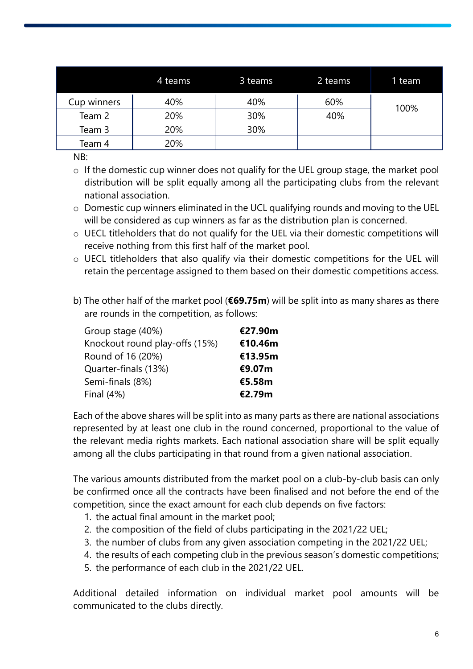|             | 4 teams | 3 teams | 2 teams | 1 team |  |
|-------------|---------|---------|---------|--------|--|
| Cup winners | 40%     | 40%     | 60%     | 100%   |  |
| Team 2      | 20%     | 30%     | 40%     |        |  |
| Team 3      | 20%     | 30%     |         |        |  |
| Team 4      | 20%     |         |         |        |  |

NB:

- o If the domestic cup winner does not qualify for the UEL group stage, the market pool distribution will be split equally among all the participating clubs from the relevant national association.
- o Domestic cup winners eliminated in the UCL qualifying rounds and moving to the UEL will be considered as cup winners as far as the distribution plan is concerned.
- o UECL titleholders that do not qualify for the UEL via their domestic competitions will receive nothing from this first half of the market pool.
- o UECL titleholders that also qualify via their domestic competitions for the UEL will retain the percentage assigned to them based on their domestic competitions access.
- b) The other half of the market pool (**€69.75m**) will be split into as many shares as there are rounds in the competition, as follows:

| Group stage (40%)              | €27.90m |
|--------------------------------|---------|
| Knockout round play-offs (15%) | €10.46m |
| Round of 16 (20%)              | €13.95m |
| Quarter-finals (13%)           | €9.07m  |
| Semi-finals (8%)               | €5.58m  |
| Final $(4%)$                   | €2.79m  |

Each of the above shares will be split into as many parts as there are national associations represented by at least one club in the round concerned, proportional to the value of the relevant media rights markets. Each national association share will be split equally among all the clubs participating in that round from a given national association.

The various amounts distributed from the market pool on a club-by-club basis can only be confirmed once all the contracts have been finalised and not before the end of the competition, since the exact amount for each club depends on five factors:

- 1. the actual final amount in the market pool;
- 2. the composition of the field of clubs participating in the 2021/22 UEL;
- 3. the number of clubs from any given association competing in the 2021/22 UEL;
- 4. the results of each competing club in the previous season's domestic competitions;
- 5. the performance of each club in the 2021/22 UEL.

Additional detailed information on individual market pool amounts will be communicated to the clubs directly.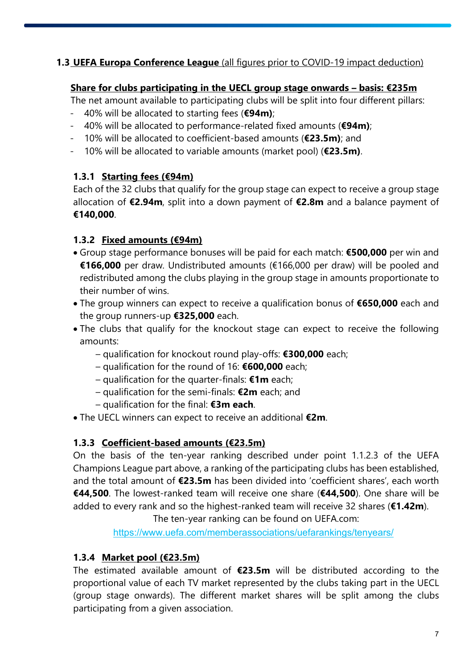## **1.3 UEFA Europa Conference League** (all figures prior to COVID-19 impact deduction)

#### **Share for clubs participating in the UECL group stage onwards – basis: €235m**

The net amount available to participating clubs will be split into four different pillars:

- 40% will be allocated to starting fees (**€94m)**;
- 40% will be allocated to performance-related fixed amounts (**€94m)**;
- 10% will be allocated to coefficient-based amounts (**€23.5m)**; and
- 10% will be allocated to variable amounts (market pool) (**€23.5m)**.

#### **1.3.1 Starting fees (€94m)**

Each of the 32 clubs that qualify for the group stage can expect to receive a group stage allocation of **€2.94m**, split into a down payment of **€2.8m** and a balance payment of **€140,000**.

#### **1.3.2 Fixed amounts (€94m)**

- Group stage performance bonuses will be paid for each match: **€500,000** per win and **€166,000** per draw. Undistributed amounts (€166,000 per draw) will be pooled and redistributed among the clubs playing in the group stage in amounts proportionate to their number of wins.
- The group winners can expect to receive a qualification bonus of **€650,000** each and the group runners-up **€325,000** each.
- The clubs that qualify for the knockout stage can expect to receive the following amounts:
	- qualification for knockout round play-offs: **€300,000** each;
	- qualification for the round of 16: **€600,000** each;
	- qualification for the quarter-finals: **€1m** each;
	- qualification for the semi-finals: **€2m** each; and
	- qualification for the final: **€3m each**.
- The UECL winners can expect to receive an additional **€2m**.

## **1.3.3 Coefficient-based amounts (€23.5m)**

On the basis of the ten-year ranking described under point 1.1.2.3 of the UEFA Champions League part above, a ranking of the participating clubs has been established, and the total amount of **€23.5m** has been divided into 'coefficient shares', each worth **€44,500**. The lowest-ranked team will receive one share (**€44,500**). One share will be added to every rank and so the highest-ranked team will receive 32 shares (**€1.42m**).

The ten-year ranking can be found on UEFA.com:

<https://www.uefa.com/memberassociations/uefarankings/tenyears/>

## **1.3.4 Market pool (€23.5m)**

The estimated available amount of **€23.5m** will be distributed according to the proportional value of each TV market represented by the clubs taking part in the UECL (group stage onwards). The different market shares will be split among the clubs participating from a given association.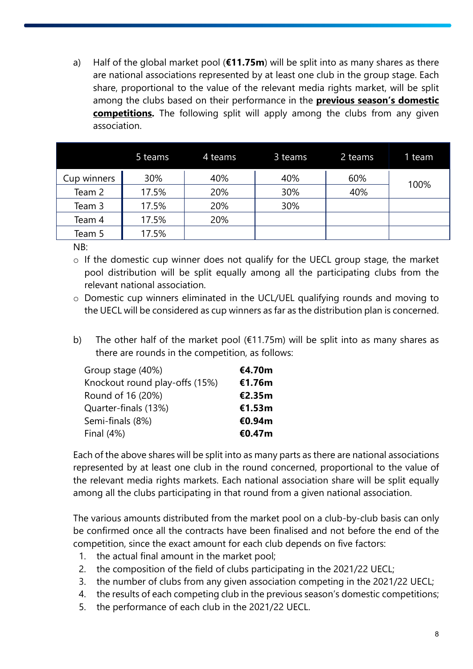a) Half of the global market pool (**€11.75m**) will be split into as many shares as there are national associations represented by at least one club in the group stage. Each share, proportional to the value of the relevant media rights market, will be split among the clubs based on their performance in the **previous season's domestic competitions.** The following split will apply among the clubs from any given association.

|             | 5 teams | 4 teams | 3 teams | 2 teams | 1 team |
|-------------|---------|---------|---------|---------|--------|
| Cup winners | 30%     | 40%     | 40%     | 60%     | 100%   |
| Team 2      | 17.5%   | 20%     | 30%     | 40%     |        |
| Team 3      | 17.5%   | 20%     | 30%     |         |        |
| Team 4      | 17.5%   | 20%     |         |         |        |
| Team 5      | 17.5%   |         |         |         |        |

NB:

- o If the domestic cup winner does not qualify for the UECL group stage, the market pool distribution will be split equally among all the participating clubs from the relevant national association.
- o Domestic cup winners eliminated in the UCL/UEL qualifying rounds and moving to the UECL will be considered as cup winners as far as the distribution plan is concerned.
- b) The other half of the market pool ( $E11.75m$ ) will be split into as many shares as there are rounds in the competition, as follows:

| Group stage (40%)              | <b>€4.70m</b> |
|--------------------------------|---------------|
| Knockout round play-offs (15%) | €1.76m        |
| Round of 16 (20%)              | €2.35m        |
| Quarter-finals (13%)           | €1.53m        |
| Semi-finals (8%)               | €0.94m        |
| Final $(4%)$                   | €0.47m        |

Each of the above shares will be split into as many parts as there are national associations represented by at least one club in the round concerned, proportional to the value of the relevant media rights markets. Each national association share will be split equally among all the clubs participating in that round from a given national association.

The various amounts distributed from the market pool on a club-by-club basis can only be confirmed once all the contracts have been finalised and not before the end of the competition, since the exact amount for each club depends on five factors:

- 1. the actual final amount in the market pool;
- 2. the composition of the field of clubs participating in the 2021/22 UECL;
- 3. the number of clubs from any given association competing in the 2021/22 UECL;
- 4. the results of each competing club in the previous season's domestic competitions;
- 5. the performance of each club in the 2021/22 UECL.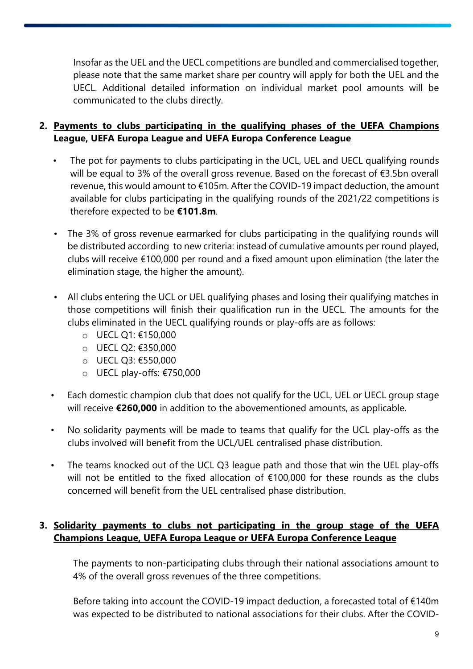Insofar as the UEL and the UECL competitions are bundled and commercialised together, please note that the same market share per country will apply for both the UEL and the UECL. Additional detailed information on individual market pool amounts will be communicated to the clubs directly.

## **2. Payments to clubs participating in the qualifying phases of the UEFA Champions League, UEFA Europa League and UEFA Europa Conference League**

- The pot for payments to clubs participating in the UCL, UEL and UECL qualifying rounds will be equal to 3% of the overall gross revenue. Based on the forecast of €3.5bn overall revenue, this would amount to €105m. After the COVID-19 impact deduction, the amount available for clubs participating in the qualifying rounds of the 2021/22 competitions is therefore expected to be **€101.8m**.
- The 3% of gross revenue earmarked for clubs participating in the qualifying rounds will be distributed according to new criteria: instead of cumulative amounts per round played, clubs will receive €100,000 per round and a fixed amount upon elimination (the later the elimination stage, the higher the amount).
- All clubs entering the UCL or UEL qualifying phases and losing their qualifying matches in those competitions will finish their qualification run in the UECL. The amounts for the clubs eliminated in the UECL qualifying rounds or play-offs are as follows:
	- o UECL Q1: €150,000
	- o UECL Q2: €350,000
	- o UECL Q3: €550,000
	- o UECL play-offs: €750,000
- Each domestic champion club that does not qualify for the UCL, UEL or UECL group stage will receive **€260,000** in addition to the abovementioned amounts, as applicable.
- No solidarity payments will be made to teams that qualify for the UCL play-offs as the clubs involved will benefit from the UCL/UEL centralised phase distribution.
- The teams knocked out of the UCL Q3 league path and those that win the UEL play-offs will not be entitled to the fixed allocation of €100,000 for these rounds as the clubs concerned will benefit from the UEL centralised phase distribution.

## **3. Solidarity payments to clubs not participating in the group stage of the UEFA Champions League, UEFA Europa League or UEFA Europa Conference League**

The payments to non-participating clubs through their national associations amount to 4% of the overall gross revenues of the three competitions.

Before taking into account the COVID-19 impact deduction, a forecasted total of €140m was expected to be distributed to national associations for their clubs. After the COVID-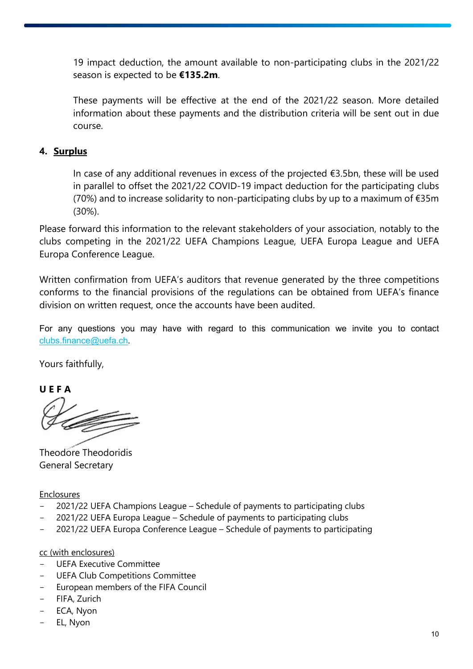19 impact deduction, the amount available to non-participating clubs in the 2021/22 season is expected to be **€135.2m**.

These payments will be effective at the end of the 2021/22 season. More detailed information about these payments and the distribution criteria will be sent out in due course.

#### **4. Surplus**

In case of any additional revenues in excess of the projected  $\epsilon$ 3.5bn, these will be used in parallel to offset the 2021/22 COVID-19 impact deduction for the participating clubs (70%) and to increase solidarity to non-participating clubs by up to a maximum of  $E35m$ (30%).

Please forward this information to the relevant stakeholders of your association, notably to the clubs competing in the 2021/22 UEFA Champions League, UEFA Europa League and UEFA Europa Conference League.

Written confirmation from UEFA's auditors that revenue generated by the three competitions conforms to the financial provisions of the regulations can be obtained from UEFA's finance division on written request, once the accounts have been audited.

For any questions you may have with regard to this communication we invite you to contact [clubs.finance@uefa.ch](mailto:clubs.finance@uefa.ch).

Yours faithfully,

**U E F A** 

Theodore Theodoridis General Secretary

Enclosures

- 2021/22 UEFA Champions League Schedule of payments to participating clubs
- 2021/22 UEFA Europa League Schedule of payments to participating clubs
- 2021/22 UEFA Europa Conference League Schedule of payments to participating

#### cc (with enclosures)

- UEFA Executive Committee
- UEFA Club Competitions Committee
- European members of the FIFA Council
- FIFA, Zurich
- ECA, Nyon
- EL, Nyon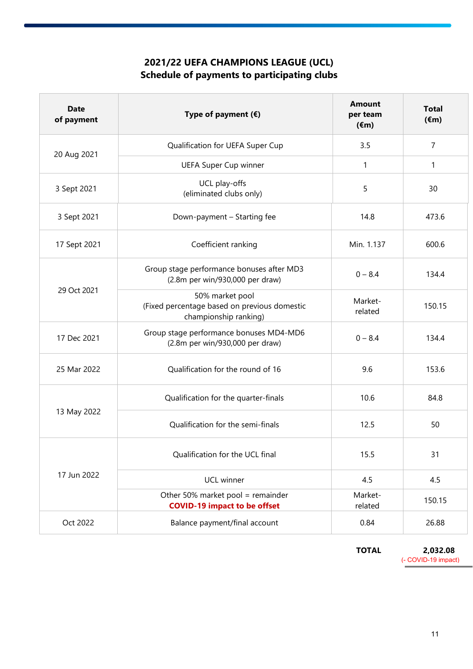# **2021/22 UEFA CHAMPIONS LEAGUE (UCL) Schedule of payments to participating clubs**

| <b>Date</b><br>of payment | Type of payment $(\epsilon)$                                                             | <b>Amount</b><br>per team<br>$(\epsilon m)$ | <b>Total</b><br>$(\epsilon m)$ |
|---------------------------|------------------------------------------------------------------------------------------|---------------------------------------------|--------------------------------|
| 20 Aug 2021               | Qualification for UEFA Super Cup                                                         | 3.5                                         | $\overline{7}$                 |
|                           | <b>UEFA Super Cup winner</b>                                                             | 1                                           | 1                              |
| 3 Sept 2021               | UCL play-offs<br>(eliminated clubs only)                                                 | 5                                           | 30                             |
| 3 Sept 2021               | Down-payment - Starting fee                                                              | 14.8                                        | 473.6                          |
| 17 Sept 2021              | Coefficient ranking                                                                      | Min. 1.137                                  | 600.6                          |
|                           | Group stage performance bonuses after MD3<br>(2.8m per win/930,000 per draw)             | $0 - 8.4$                                   | 134.4                          |
| 29 Oct 2021               | 50% market pool<br>(Fixed percentage based on previous domestic<br>championship ranking) | Market-<br>related                          | 150.15                         |
| 17 Dec 2021               | Group stage performance bonuses MD4-MD6<br>(2.8m per win/930,000 per draw)               | $0 - 8.4$                                   | 134.4                          |
| 25 Mar 2022               | Qualification for the round of 16                                                        | 9.6                                         | 153.6                          |
|                           | Qualification for the quarter-finals                                                     | 10.6                                        | 84.8                           |
| 13 May 2022               | Qualification for the semi-finals                                                        | 12.5                                        | 50                             |
| 17 Jun 2022               | Qualification for the UCL final                                                          | 15.5                                        | 31                             |
|                           | UCL winner                                                                               | 4.5                                         | 4.5                            |
|                           | Other 50% market pool = remainder<br><b>COVID-19 impact to be offset</b>                 | Market-<br>related                          | 150.15                         |
| Oct 2022                  | Balance payment/final account                                                            | 0.84                                        | 26.88                          |

**TOTAL 2,032.08** (- COVID-19 impact)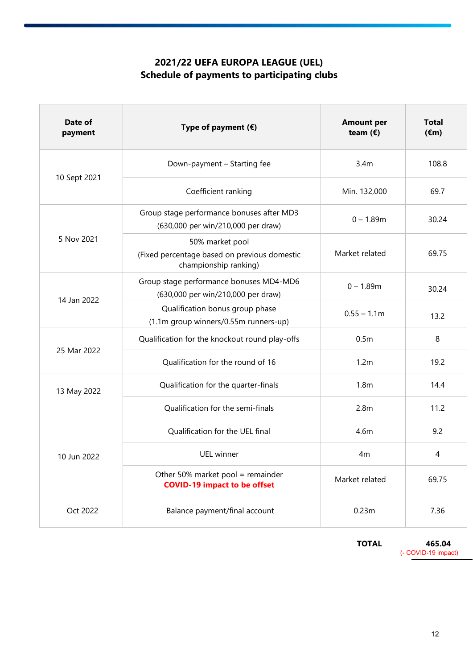# **2021/22 UEFA EUROPA LEAGUE (UEL) Schedule of payments to participating clubs**

| Date of<br>payment | Type of payment $(E)$                                                                    | <b>Amount per</b><br>team $(\epsilon)$ | <b>Total</b><br>$(\epsilon m)$ |
|--------------------|------------------------------------------------------------------------------------------|----------------------------------------|--------------------------------|
|                    | Down-payment - Starting fee                                                              | 3.4 <sub>m</sub>                       | 108.8                          |
| 10 Sept 2021       | Coefficient ranking                                                                      | Min. 132,000                           | 69.7                           |
|                    | Group stage performance bonuses after MD3<br>(630,000 per win/210,000 per draw)          | $0 - 1.89m$                            | 30.24                          |
| 5 Nov 2021         | 50% market pool<br>(Fixed percentage based on previous domestic<br>championship ranking) | Market related                         | 69.75                          |
|                    | Group stage performance bonuses MD4-MD6<br>(630,000 per win/210,000 per draw)            | $0 - 1.89m$                            | 30.24                          |
| 14 Jan 2022        | Qualification bonus group phase<br>(1.1m group winners/0.55m runners-up)                 | $0.55 - 1.1m$                          | 13.2                           |
| 25 Mar 2022        | Qualification for the knockout round play-offs                                           | 0.5 <sub>m</sub>                       | 8                              |
|                    | Qualification for the round of 16                                                        | 1.2m                                   | 19.2                           |
| 13 May 2022        | Qualification for the quarter-finals                                                     | 1.8 <sub>m</sub>                       | 14.4                           |
|                    | Qualification for the semi-finals                                                        | 2.8 <sub>m</sub>                       | 11.2                           |
| 10 Jun 2022        | Qualification for the UEL final                                                          | 4.6m                                   | 9.2                            |
|                    | UEL winner                                                                               | 4 <sub>m</sub>                         | 4                              |
|                    | Other 50% market pool = remainder<br><b>COVID-19 impact to be offset</b>                 | Market related                         | 69.75                          |
| Oct 2022           | Balance payment/final account                                                            | 0.23m                                  | 7.36                           |

**TOTAL 465.04** (- COVID-19 impact)